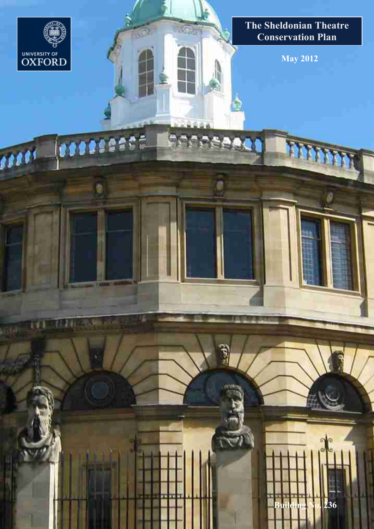

,,,,,

foresee<del>s</del>

Sheldonian Theatre,

u

Conservation Plan, May 2012

**The Sheldonian Theatre Conservation Plan**

**May 2012**

**CARLI** 

 $\sqrt{7}$ 

1

**b**<sup>1</sup>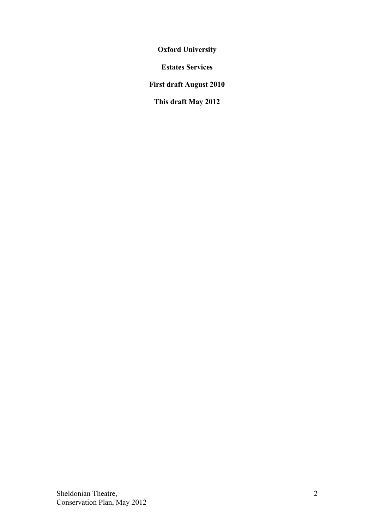**Oxford University**

**Estates Services**

**First draft August 2010**

**This draft May 2012**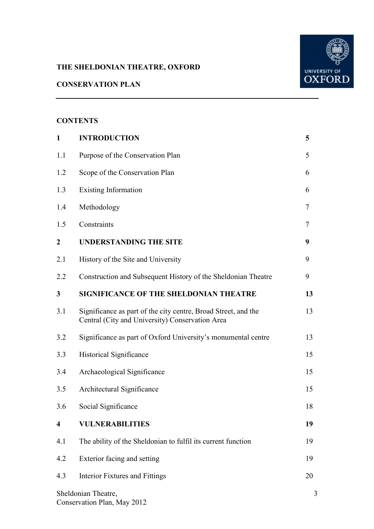

## **CONSERVATION PLAN**

## **CONTENTS**

| $\mathbf{1}$            | <b>INTRODUCTION</b>                                                                                               | 5  |
|-------------------------|-------------------------------------------------------------------------------------------------------------------|----|
| 1.1                     | Purpose of the Conservation Plan                                                                                  | 5  |
| 1.2                     | Scope of the Conservation Plan                                                                                    | 6  |
| 1.3                     | <b>Existing Information</b>                                                                                       | 6  |
| 1.4                     | Methodology                                                                                                       | 7  |
| 1.5                     | Constraints                                                                                                       | 7  |
| $\boldsymbol{2}$        | <b>UNDERSTANDING THE SITE</b>                                                                                     | 9  |
| 2.1                     | History of the Site and University                                                                                | 9  |
| 2.2                     | Construction and Subsequent History of the Sheldonian Theatre                                                     | 9  |
| 3                       | SIGNIFICANCE OF THE SHELDONIAN THEATRE                                                                            | 13 |
| 3.1                     | Significance as part of the city centre, Broad Street, and the<br>Central (City and University) Conservation Area | 13 |
| 3.2                     | Significance as part of Oxford University's monumental centre                                                     | 13 |
| 3.3                     | <b>Historical Significance</b>                                                                                    | 15 |
| 3.4                     | Archaeological Significance                                                                                       | 15 |
| 3.5                     | Architectural Significance                                                                                        | 15 |
| 3.6                     | Social Significance                                                                                               | 18 |
| $\overline{\mathbf{4}}$ | <b>VULNERABILITIES</b>                                                                                            | 19 |
| 4.1                     | The ability of the Sheldonian to fulfil its current function                                                      | 19 |
| 4.2                     | Exterior facing and setting                                                                                       | 19 |
| 4.3                     | Interior Fixtures and Fittings                                                                                    | 20 |
|                         | Sheldonian Theatre,                                                                                               | 3  |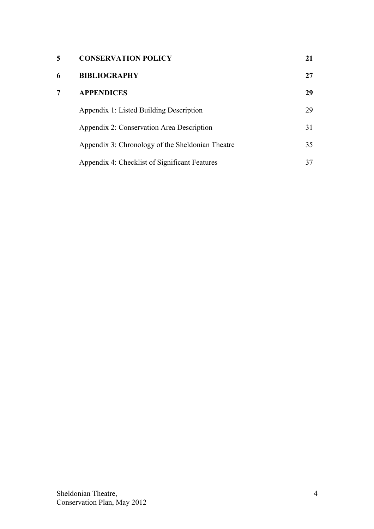| 5 | <b>CONSERVATION POLICY</b>                       | 21 |
|---|--------------------------------------------------|----|
| 6 | <b>BIBLIOGRAPHY</b>                              | 27 |
|   | <b>APPENDICES</b>                                | 29 |
|   | Appendix 1: Listed Building Description          | 29 |
|   | Appendix 2: Conservation Area Description        | 31 |
|   | Appendix 3: Chronology of the Sheldonian Theatre | 35 |
|   | Appendix 4: Checklist of Significant Features    | 37 |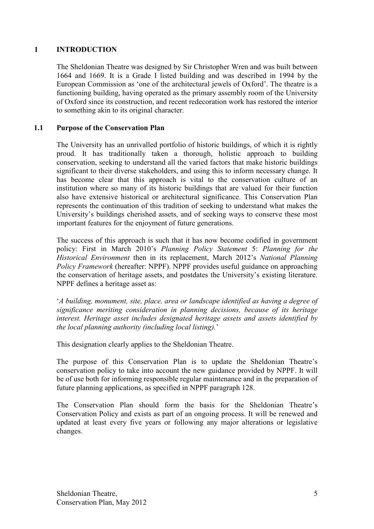### **1 INTRODUCTION**

The Sheldonian Theatre was designed by Sir Christopher Wren and was built between 1664 and 1669. It is a Grade I listed building and was described in 1994 by the European Commission as 'one of the architectural jewels of Oxford'. The theatre is a functioning building, having operated as the primary assembly room of the University of Oxford since its construction, and recent redecoration work has restored the interior to something akin to its original character.

#### **1.1 Purpose of the Conservation Plan**

The University has an unrivalled portfolio of historic buildings, of which it is rightly proud. It has traditionally taken a thorough, holistic approach to building conservation, seeking to understand all the varied factors that make historic buildings significant to their diverse stakeholders, and using this to inform necessary change. It has become clear that this approach is vital to the conservation culture of an institution where so many of its historic buildings that are valued for their function also have extensive historical or architectural significance. This Conservation Plan represents the continuation of this tradition of seeking to understand what makes the University's buildings cherished assets, and of seeking ways to conserve these most important features for the enjoyment of future generations.

The success of this approach is such that it has now become codified in government policy: First in March 2010's *Planning Policy Statement* 5: *Planning for the Historical Environment* then in its replacement, March 2012's *National Planning Policy Framework* (hereafter: NPPF). NPPF provides useful guidance on approaching the conservation of heritage assets, and postdates the University's existing literature. NPPF defines a heritage asset as:

'*A building, monument, site, place, area or landscape identified as having a degree of significance meriting consideration in planning decisions, because of its heritage interest. Heritage asset includes designated heritage assets and assets identified by the local planning authority (including local listing).*'

This designation clearly applies to the Sheldonian Theatre.

The purpose of this Conservation Plan is to update the Sheldonian Theatre's conservation policy to take into account the new guidance provided by NPPF. It will be of use both for informing responsible regular maintenance and in the preparation of future planning applications, as specified in NPPF paragraph 128.

The Conservation Plan should form the basis for the Sheldonian Theatre's Conservation Policy and exists as part of an ongoing process. It will be renewed and updated at least every five years or following any major alterations or legislative changes.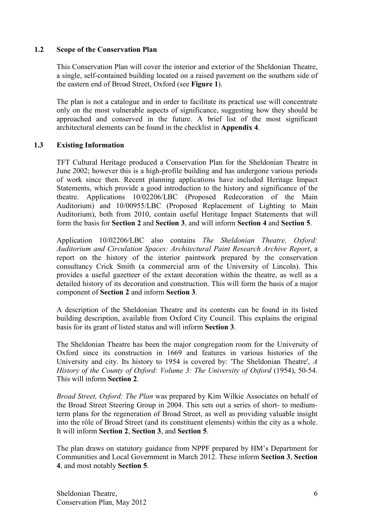#### **1.2 Scope of the Conservation Plan**

This Conservation Plan will cover the interior and exterior of the Sheldonian Theatre, a single, self-contained building located on a raised pavement on the southern side of the eastern end of Broad Street, Oxford (see **Figure 1**).

The plan is not a catalogue and in order to facilitate its practical use will concentrate only on the most vulnerable aspects of significance, suggesting how they should be approached and conserved in the future. A brief list of the most significant architectural elements can be found in the checklist in **Appendix 4**.

#### **1.3 Existing Information**

TFT Cultural Heritage produced a Conservation Plan for the Sheldonian Theatre in June 2002; however this is a high-profile building and has undergone various periods of work since then. Recent planning applications have included Heritage Impact Statements, which provide a good introduction to the history and significance of the theatre. Applications 10/02206/LBC (Proposed Redecoration of the Main Auditorium) and 10/00955/LBC (Proposed Replacement of Lighting to Main Auditorium), both from 2010, contain useful Heritage Impact Statements that will form the basis for **Section 2** and **Section 3**, and will inform **Section 4** and **Section 5**.

Application 10/02206/LBC also contains *The Sheldonian Theatre, Oxford: Auditorium and Circulation Spaces: Architectural Paint Research Archive Report*, a report on the history of the interior paintwork prepared by the conservation consultancy Crick Smith (a commercial arm of the University of Lincoln). This provides a useful gazetteer of the extant decoration within the theatre, as well as a detailed history of its decoration and construction. This will form the basis of a major component of **Section 2** and inform **Section 3**.

A description of the Sheldonian Theatre and its contents can be found in its listed building description, available from Oxford City Council. This explains the original basis for its grant of listed status and will inform **Section 3**.

The Sheldonian Theatre has been the major congregation room for the University of Oxford since its construction in 1669 and features in various histories of the University and city. Its history to 1954 is covered by: 'The Sheldonian Theatre', *A History of the County of Oxford: Volume 3: The University of Oxford* (1954), 50-54. This will inform **Section 2**.

*Broad Street, Oxford: The Plan* was prepared by Kim Wilkie Associates on behalf of the Broad Street Steering Group in 2004. This sets out a series of short- to mediumterm plans for the regeneration of Broad Street, as well as providing valuable insight into the rôle of Broad Street (and its constituent elements) within the city as a whole. It will inform **Section 2**, **Section 3**, and **Section 5**.

The plan draws on statutory guidance from NPPF prepared by HM's Department for Communities and Local Government in March 2012. These inform **Section 3**, **Section 4**, and most notably **Section 5**.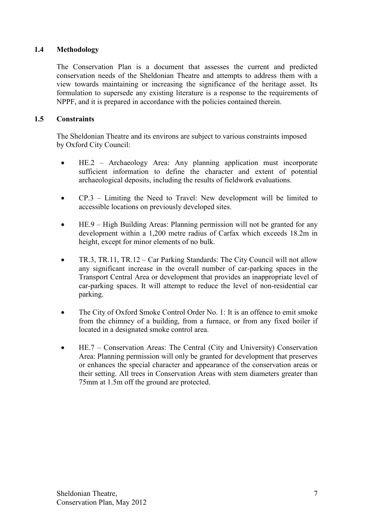## **1.4 Methodology**

The Conservation Plan is a document that assesses the current and predicted conservation needs of the Sheldonian Theatre and attempts to address them with a view towards maintaining or increasing the significance of the heritage asset. Its formulation to supersede any existing literature is a response to the requirements of NPPF, and it is prepared in accordance with the policies contained therein.

## **1.5 Constraints**

The Sheldonian Theatre and its environs are subject to various constraints imposed by Oxford City Council:

- HE.2 Archaeology Area: Any planning application must incorporate sufficient information to define the character and extent of potential archaeological deposits, including the results of fieldwork evaluations.
- CP.3 Limiting the Need to Travel: New development will be limited to accessible locations on previously developed sites.
- HE.9 High Building Areas: Planning permission will not be granted for any development within a 1,200 metre radius of Carfax which exceeds 18.2m in height, except for minor elements of no bulk.
- TR.3, TR.11, TR.12 Car Parking Standards: The City Council will not allow any significant increase in the overall number of car-parking spaces in the Transport Central Area or development that provides an inappropriate level of car-parking spaces. It will attempt to reduce the level of non-residential car parking.
- The City of Oxford Smoke Control Order No. 1: It is an offence to emit smoke from the chimney of a building, from a furnace, or from any fixed boiler if located in a designated smoke control area.
- HE.7 Conservation Areas: The Central (City and University) Conservation Area: Planning permission will only be granted for development that preserves or enhances the special character and appearance of the conservation areas or their setting. All trees in Conservation Areas with stem diameters greater than 75mm at 1.5m off the ground are protected.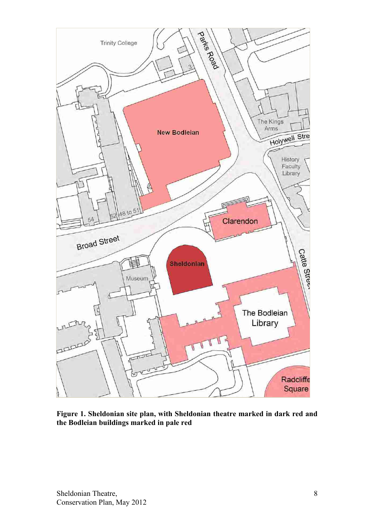

**Figure 1. Sheldonian site plan, with Sheldonian theatre marked in dark red and the Bodleian buildings marked in pale red**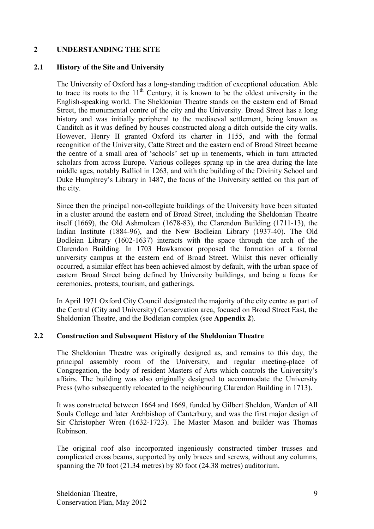## **2 UNDERSTANDING THE SITE**

#### **2.1 History of the Site and University**

The University of Oxford has a long-standing tradition of exceptional education. Able to trace its roots to the  $11<sup>th</sup>$  Century, it is known to be the oldest university in the English-speaking world. The Sheldonian Theatre stands on the eastern end of Broad Street, the monumental centre of the city and the University. Broad Street has a long history and was initially peripheral to the mediaeval settlement, being known as Canditch as it was defined by houses constructed along a ditch outside the city walls. However, Henry II granted Oxford its charter in 1155, and with the formal recognition of the University, Catte Street and the eastern end of Broad Street became the centre of a small area of 'schools' set up in tenements, which in turn attracted scholars from across Europe. Various colleges sprang up in the area during the late middle ages, notably Balliol in 1263, and with the building of the Divinity School and Duke Humphrey's Library in 1487, the focus of the University settled on this part of the city.

Since then the principal non-collegiate buildings of the University have been situated in a cluster around the eastern end of Broad Street, including the Sheldonian Theatre itself (1669), the Old Ashmolean (1678-83), the Clarendon Building (1711-13), the Indian Institute (1884-96), and the New Bodleian Library (1937-40). The Old Bodleian Library (1602-1637) interacts with the space through the arch of the Clarendon Building. In 1703 Hawksmoor proposed the formation of a formal university campus at the eastern end of Broad Street. Whilst this never officially occurred, a similar effect has been achieved almost by default, with the urban space of eastern Broad Street being defined by University buildings, and being a focus for ceremonies, protests, tourism, and gatherings.

In April 1971 Oxford City Council designated the majority of the city centre as part of the Central (City and University) Conservation area, focused on Broad Street East, the Sheldonian Theatre, and the Bodleian complex (see **Appendix 2**).

#### **2.2 Construction and Subsequent History of the Sheldonian Theatre**

The Sheldonian Theatre was originally designed as, and remains to this day, the principal assembly room of the University, and regular meeting-place of Congregation, the body of resident Masters of Arts which controls the University's affairs. The building was also originally designed to accommodate the University Press (who subsequently relocated to the neighbouring Clarendon Building in 1713).

It was constructed between 1664 and 1669, funded by Gilbert Sheldon, Warden of All Souls College and later Archbishop of Canterbury, and was the first major design of Sir Christopher Wren (1632-1723). The Master Mason and builder was Thomas Robinson.

The original roof also incorporated ingeniously constructed timber trusses and complicated cross beams, supported by only braces and screws, without any columns, spanning the 70 foot (21.34 metres) by 80 foot (24.38 metres) auditorium.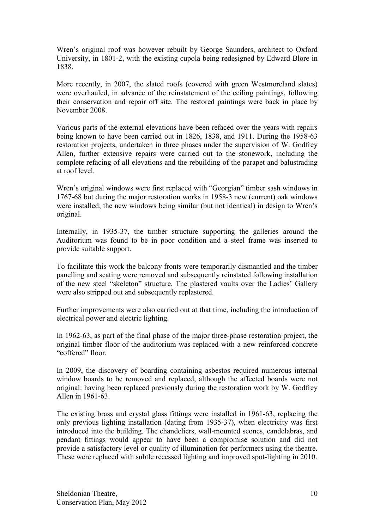Wren's original roof was however rebuilt by George Saunders, architect to Oxford University, in 1801-2, with the existing cupola being redesigned by Edward Blore in 1838.

More recently, in 2007, the slated roofs (covered with green Westmoreland slates) were overhauled, in advance of the reinstatement of the ceiling paintings, following their conservation and repair off site. The restored paintings were back in place by November 2008.

Various parts of the external elevations have been refaced over the years with repairs being known to have been carried out in 1826, 1838, and 1911. During the 1958-63 restoration projects, undertaken in three phases under the supervision of W. Godfrey Allen, further extensive repairs were carried out to the stonework, including the complete refacing of all elevations and the rebuilding of the parapet and balustrading at roof level.

Wren's original windows were first replaced with "Georgian" timber sash windows in 1767-68 but during the major restoration works in 1958-3 new (current) oak windows were installed; the new windows being similar (but not identical) in design to Wren's original.

Internally, in 1935-37, the timber structure supporting the galleries around the Auditorium was found to be in poor condition and a steel frame was inserted to provide suitable support.

To facilitate this work the balcony fronts were temporarily dismantled and the timber panelling and seating were removed and subsequently reinstated following installation of the new steel "skeleton" structure. The plastered vaults over the Ladies' Gallery were also stripped out and subsequently replastered.

Further improvements were also carried out at that time, including the introduction of electrical power and electric lighting.

In 1962-63, as part of the final phase of the major three-phase restoration project, the original timber floor of the auditorium was replaced with a new reinforced concrete "coffered" floor.

In 2009, the discovery of boarding containing asbestos required numerous internal window boards to be removed and replaced, although the affected boards were not original: having been replaced previously during the restoration work by W. Godfrey Allen in 1961-63.

The existing brass and crystal glass fittings were installed in 1961-63, replacing the only previous lighting installation (dating from 1935-37), when electricity was first introduced into the building. The chandeliers, wall-mounted scones, candelabras, and pendant fittings would appear to have been a compromise solution and did not provide a satisfactory level or quality of illumination for performers using the theatre. These were replaced with subtle recessed lighting and improved spot-lighting in 2010.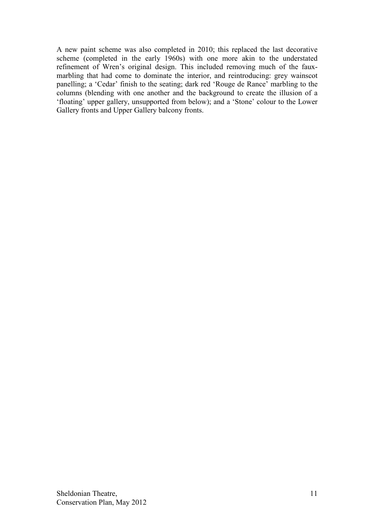A new paint scheme was also completed in 2010; this replaced the last decorative scheme (completed in the early 1960s) with one more akin to the understated refinement of Wren's original design. This included removing much of the fauxmarbling that had come to dominate the interior, and reintroducing: grey wainscot panelling; a 'Cedar' finish to the seating; dark red 'Rouge de Rance' marbling to the columns (blending with one another and the background to create the illusion of a 'floating' upper gallery, unsupported from below); and a 'Stone' colour to the Lower Gallery fronts and Upper Gallery balcony fronts.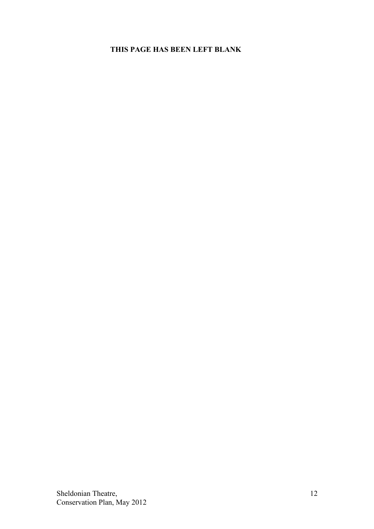## **THIS PAGE HAS BEEN LEFT BLANK**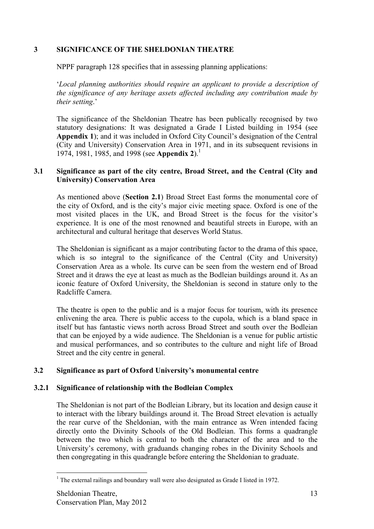## **3 SIGNIFICANCE OF THE SHELDONIAN THEATRE**

NPPF paragraph 128 specifies that in assessing planning applications:

'*Local planning authorities should require an applicant to provide a description of the significance of any heritage assets affected including any contribution made by their setting*.'

The significance of the Sheldonian Theatre has been publically recognised by two statutory designations: It was designated a Grade I Listed building in 1954 (see **Appendix 1**); and it was included in Oxford City Council's designation of the Central (City and University) Conservation Area in 1971, and in its subsequent revisions in 1974, 1981, 1985, and 1998 (see **Appendix 2**).<sup>1</sup>

## **3.1 Significance as part of the city centre, Broad Street, and the Central (City and University) Conservation Area**

As mentioned above (**Section 2.1**) Broad Street East forms the monumental core of the city of Oxford, and is the city's major civic meeting space. Oxford is one of the most visited places in the UK, and Broad Street is the focus for the visitor's experience. It is one of the most renowned and beautiful streets in Europe, with an architectural and cultural heritage that deserves World Status.

The Sheldonian is significant as a major contributing factor to the drama of this space, which is so integral to the significance of the Central (City and University) Conservation Area as a whole. Its curve can be seen from the western end of Broad Street and it draws the eye at least as much as the Bodleian buildings around it. As an iconic feature of Oxford University, the Sheldonian is second in stature only to the Radcliffe Camera.

The theatre is open to the public and is a major focus for tourism, with its presence enlivening the area. There is public access to the cupola, which is a bland space in itself but has fantastic views north across Broad Street and south over the Bodleian that can be enjoyed by a wide audience. The Sheldonian is a venue for public artistic and musical performances, and so contributes to the culture and night life of Broad Street and the city centre in general.

## **3.2 Significance as part of Oxford University's monumental centre**

## **3.2.1 Significance of relationship with the Bodleian Complex**

The Sheldonian is not part of the Bodleian Library, but its location and design cause it to interact with the library buildings around it. The Broad Street elevation is actually the rear curve of the Sheldonian, with the main entrance as Wren intended facing directly onto the Divinity Schools of the Old Bodleian. This forms a quadrangle between the two which is central to both the character of the area and to the University's ceremony, with graduands changing robes in the Divinity Schools and then congregating in this quadrangle before entering the Sheldonian to graduate.

<sup>&</sup>lt;sup>1</sup> The external railings and boundary wall were also designated as Grade I listed in 1972.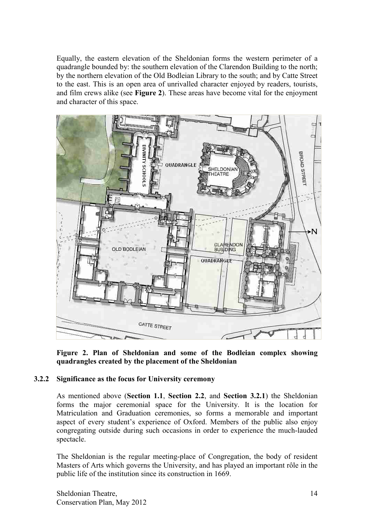Equally, the eastern elevation of the Sheldonian forms the western perimeter of a quadrangle bounded by: the southern elevation of the Clarendon Building to the north; by the northern elevation of the Old Bodleian Library to the south; and by Catte Street to the east. This is an open area of unrivalled character enjoyed by readers, tourists, and film crews alike (see **Figure 2**). These areas have become vital for the enjoyment and character of this space.



**Figure 2. Plan of Sheldonian and some of the Bodleian complex showing quadrangles created by the placement of the Sheldonian**

## **3.2.2 Significance as the focus for University ceremony**

As mentioned above (**Section 1.1**, **Section 2.2**, and **Section 3.2.1**) the Sheldonian forms the major ceremonial space for the University. It is the location for Matriculation and Graduation ceremonies, so forms a memorable and important aspect of every student's experience of Oxford. Members of the public also enjoy congregating outside during such occasions in order to experience the much-lauded spectacle.

The Sheldonian is the regular meeting-place of Congregation, the body of resident Masters of Arts which governs the University, and has played an important rôle in the public life of the institution since its construction in 1669.

Sheldonian Theatre, Conservation Plan, May 2012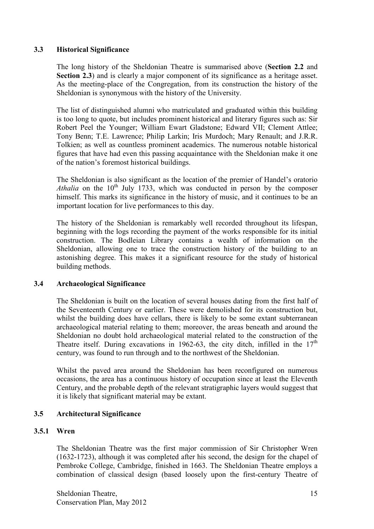## **3.3 Historical Significance**

The long history of the Sheldonian Theatre is summarised above (**Section 2.2** and **Section 2.3**) and is clearly a major component of its significance as a heritage asset. As the meeting-place of the Congregation, from its construction the history of the Sheldonian is synonymous with the history of the University.

The list of distinguished alumni who matriculated and graduated within this building is too long to quote, but includes prominent historical and literary figures such as: Sir Robert Peel the Younger; William Ewart Gladstone; Edward VII; Clement Attlee; Tony Benn; T.E. Lawrence; Philip Larkin; Iris Murdoch; Mary Renault; and J.R.R. Tolkien; as well as countless prominent academics. The numerous notable historical figures that have had even this passing acquaintance with the Sheldonian make it one of the nation's foremost historical buildings.

The Sheldonian is also significant as the location of the premier of Handel's oratorio *Athalia* on the  $10^{th}$  July 1733, which was conducted in person by the composer himself. This marks its significance in the history of music, and it continues to be an important location for live performances to this day.

The history of the Sheldonian is remarkably well recorded throughout its lifespan, beginning with the logs recording the payment of the works responsible for its initial construction. The Bodleian Library contains a wealth of information on the Sheldonian, allowing one to trace the construction history of the building to an astonishing degree. This makes it a significant resource for the study of historical building methods.

## **3.4 Archaeological Significance**

The Sheldonian is built on the location of several houses dating from the first half of the Seventeenth Century or earlier. These were demolished for its construction but, whilst the building does have cellars, there is likely to be some extant subterranean archaeological material relating to them; moreover, the areas beneath and around the Sheldonian no doubt hold archaeological material related to the construction of the Theatre itself. During excavations in 1962-63, the city ditch, infilled in the  $17<sup>th</sup>$ century, was found to run through and to the northwest of the Sheldonian.

Whilst the paved area around the Sheldonian has been reconfigured on numerous occasions, the area has a continuous history of occupation since at least the Eleventh Century, and the probable depth of the relevant stratigraphic layers would suggest that it is likely that significant material may be extant.

## **3.5 Architectural Significance**

## **3.5.1 Wren**

The Sheldonian Theatre was the first major commission of Sir Christopher Wren (1632-1723), although it was completed after his second, the design for the chapel of Pembroke College, Cambridge, finished in 1663. The Sheldonian Theatre employs a combination of classical design (based loosely upon the first-century Theatre of

Sheldonian Theatre, Conservation Plan, May 2012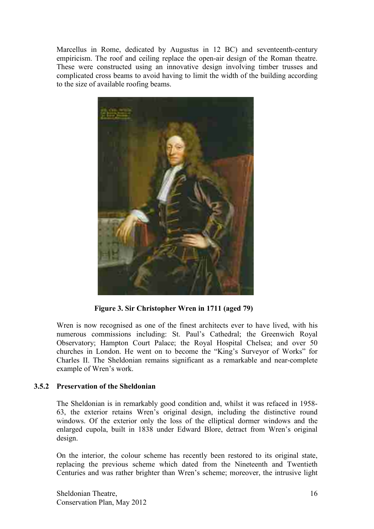Marcellus in Rome, dedicated by Augustus in 12 BC) and seventeenth-century empiricism. The roof and ceiling replace the open-air design of the Roman theatre. These were constructed using an innovative design involving timber trusses and complicated cross beams to avoid having to limit the width of the building according to the size of available roofing beams.



**Figure 3. Sir Christopher Wren in 1711 (aged 79)**

Wren is now recognised as one of the finest architects ever to have lived, with his numerous commissions including: St. Paul's Cathedral; the Greenwich Royal Observatory; Hampton Court Palace; the Royal Hospital Chelsea; and over 50 churches in London. He went on to become the "King's Surveyor of Works" for Charles II. The Sheldonian remains significant as a remarkable and near-complete example of Wren's work.

## **3.5.2 Preservation of the Sheldonian**

The Sheldonian is in remarkably good condition and, whilst it was refaced in 1958- 63, the exterior retains Wren's original design, including the distinctive round windows. Of the exterior only the loss of the elliptical dormer windows and the enlarged cupola, built in 1838 under Edward Blore, detract from Wren's original design.

On the interior, the colour scheme has recently been restored to its original state, replacing the previous scheme which dated from the Nineteenth and Twentieth Centuries and was rather brighter than Wren's scheme; moreover, the intrusive light

Sheldonian Theatre, Conservation Plan, May 2012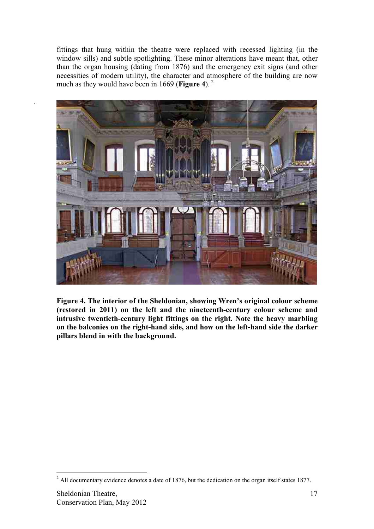fittings that hung within the theatre were replaced with recessed lighting (in the window sills) and subtle spotlighting. These minor alterations have meant that, other than the organ housing (dating from 1876) and the emergency exit signs (and other necessities of modern utility), the character and atmosphere of the building are now much as they would have been in 1669 (**Figure 4**). <sup>2</sup>



**Figure 4. The interior of the Sheldonian, showing Wren's original colour scheme (restored in 2011) on the left and the nineteenth-century colour scheme and intrusive twentieth-century light fittings on the right. Note the heavy marbling on the balconies on the right-hand side, and how on the left-hand side the darker pillars blend in with the background.**

.

<sup>&</sup>lt;sup>2</sup> All documentary evidence denotes a date of 1876, but the dedication on the organ itself states 1877.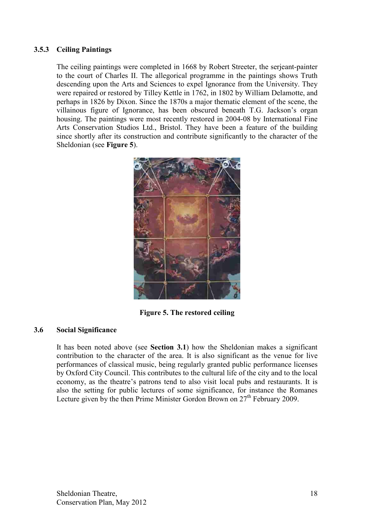## **3.5.3 Ceiling Paintings**

The ceiling paintings were completed in 1668 by Robert Streeter, the serjeant-painter to the court of Charles II. The allegorical programme in the paintings shows Truth descending upon the Arts and Sciences to expel Ignorance from the University. They were repaired or restored by Tilley Kettle in 1762, in 1802 by William Delamotte, and perhaps in 1826 by Dixon. Since the 1870s a major thematic element of the scene, the villainous figure of Ignorance, has been obscured beneath T.G. Jackson's organ housing. The paintings were most recently restored in 2004-08 by International Fine Arts Conservation Studios Ltd., Bristol. They have been a feature of the building since shortly after its construction and contribute significantly to the character of the Sheldonian (see **Figure 5**).



**Figure 5. The restored ceiling**

## **3.6 Social Significance**

It has been noted above (see **Section 3.1**) how the Sheldonian makes a significant contribution to the character of the area. It is also significant as the venue for live performances of classical music, being regularly granted public performance licenses by Oxford City Council. This contributes to the cultural life of the city and to the local economy, as the theatre's patrons tend to also visit local pubs and restaurants. It is also the setting for public lectures of some significance, for instance the Romanes Lecture given by the then Prime Minister Gordon Brown on  $27<sup>th</sup>$  February 2009.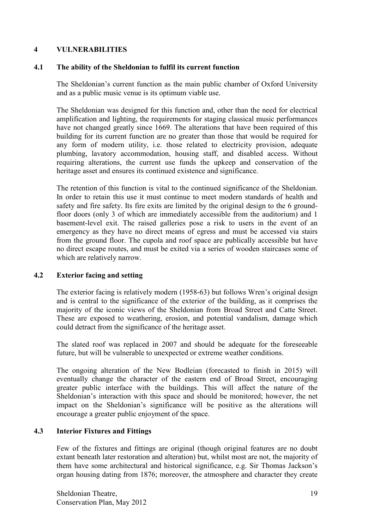## **4 VULNERABILITIES**

### **4.1 The ability of the Sheldonian to fulfil its current function**

The Sheldonian's current function as the main public chamber of Oxford University and as a public music venue is its optimum viable use.

The Sheldonian was designed for this function and, other than the need for electrical amplification and lighting, the requirements for staging classical music performances have not changed greatly since 1669. The alterations that have been required of this building for its current function are no greater than those that would be required for any form of modern utility, i.e. those related to electricity provision, adequate plumbing, lavatory accommodation, housing staff, and disabled access. Without requiring alterations, the current use funds the upkeep and conservation of the heritage asset and ensures its continued existence and significance.

The retention of this function is vital to the continued significance of the Sheldonian. In order to retain this use it must continue to meet modern standards of health and safety and fire safety. Its fire exits are limited by the original design to the 6 groundfloor doors (only 3 of which are immediately accessible from the auditorium) and 1 basement-level exit. The raised galleries pose a risk to users in the event of an emergency as they have no direct means of egress and must be accessed via stairs from the ground floor. The cupola and roof space are publically accessible but have no direct escape routes, and must be exited via a series of wooden staircases some of which are relatively narrow.

## **4.2 Exterior facing and setting**

The exterior facing is relatively modern (1958-63) but follows Wren's original design and is central to the significance of the exterior of the building, as it comprises the majority of the iconic views of the Sheldonian from Broad Street and Catte Street. These are exposed to weathering, erosion, and potential vandalism, damage which could detract from the significance of the heritage asset.

The slated roof was replaced in 2007 and should be adequate for the foreseeable future, but will be vulnerable to unexpected or extreme weather conditions.

The ongoing alteration of the New Bodleian (forecasted to finish in 2015) will eventually change the character of the eastern end of Broad Street, encouraging greater public interface with the buildings. This will affect the nature of the Sheldonian's interaction with this space and should be monitored; however, the net impact on the Sheldonian's significance will be positive as the alterations will encourage a greater public enjoyment of the space.

## **4.3 Interior Fixtures and Fittings**

Few of the fixtures and fittings are original (though original features are no doubt extant beneath later restoration and alteration) but, whilst most are not, the majority of them have some architectural and historical significance, e.g. Sir Thomas Jackson's organ housing dating from 1876; moreover, the atmosphere and character they create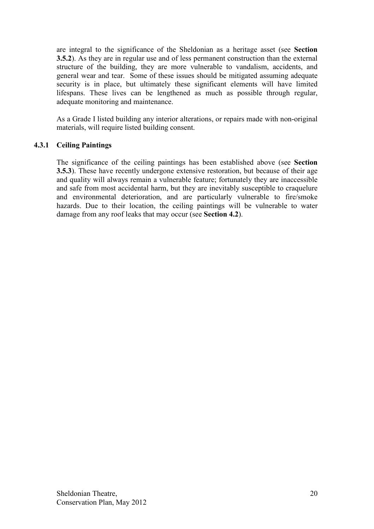are integral to the significance of the Sheldonian as a heritage asset (see **Section 3.5.2**). As they are in regular use and of less permanent construction than the external structure of the building, they are more vulnerable to vandalism, accidents, and general wear and tear. Some of these issues should be mitigated assuming adequate security is in place, but ultimately these significant elements will have limited lifespans. These lives can be lengthened as much as possible through regular, adequate monitoring and maintenance.

As a Grade I listed building any interior alterations, or repairs made with non-original materials, will require listed building consent.

## **4.3.1 Ceiling Paintings**

The significance of the ceiling paintings has been established above (see **Section 3.5.3**). These have recently undergone extensive restoration, but because of their age and quality will always remain a vulnerable feature; fortunately they are inaccessible and safe from most accidental harm, but they are inevitably susceptible to craquelure and environmental deterioration, and are particularly vulnerable to fire/smoke hazards. Due to their location, the ceiling paintings will be vulnerable to water damage from any roof leaks that may occur (see **Section 4.2**).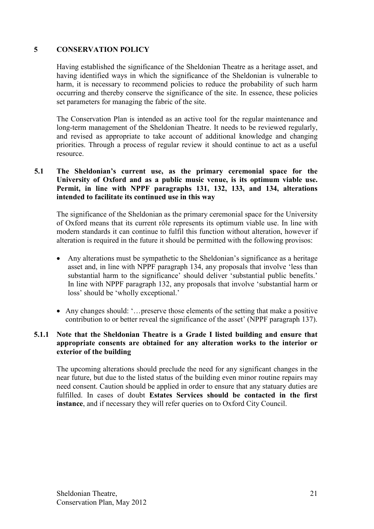## **5 CONSERVATION POLICY**

Having established the significance of the Sheldonian Theatre as a heritage asset, and having identified ways in which the significance of the Sheldonian is vulnerable to harm, it is necessary to recommend policies to reduce the probability of such harm occurring and thereby conserve the significance of the site. In essence, these policies set parameters for managing the fabric of the site.

The Conservation Plan is intended as an active tool for the regular maintenance and long-term management of the Sheldonian Theatre. It needs to be reviewed regularly, and revised as appropriate to take account of additional knowledge and changing priorities. Through a process of regular review it should continue to act as a useful resource.

### **5.1 The Sheldonian's current use, as the primary ceremonial space for the University of Oxford and as a public music venue, is its optimum viable use. Permit, in line with NPPF paragraphs 131, 132, 133, and 134, alterations intended to facilitate its continued use in this way**

The significance of the Sheldonian as the primary ceremonial space for the University of Oxford means that its current rôle represents its optimum viable use. In line with modern standards it can continue to fulfil this function without alteration, however if alteration is required in the future it should be permitted with the following provisos:

- Any alterations must be sympathetic to the Sheldonian's significance as a heritage asset and, in line with NPPF paragraph 134, any proposals that involve 'less than substantial harm to the significance' should deliver 'substantial public benefits.' In line with NPPF paragraph 132, any proposals that involve 'substantial harm or loss' should be 'wholly exceptional.'
- Any changes should: '…preserve those elements of the setting that make a positive contribution to or better reveal the significance of the asset' (NPPF paragraph 137).

## **5.1.1 Note that the Sheldonian Theatre is a Grade I listed building and ensure that appropriate consents are obtained for any alteration works to the interior or exterior of the building**

The upcoming alterations should preclude the need for any significant changes in the near future, but due to the listed status of the building even minor routine repairs may need consent. Caution should be applied in order to ensure that any statuary duties are fulfilled. In cases of doubt **Estates Services should be contacted in the first instance**, and if necessary they will refer queries on to Oxford City Council.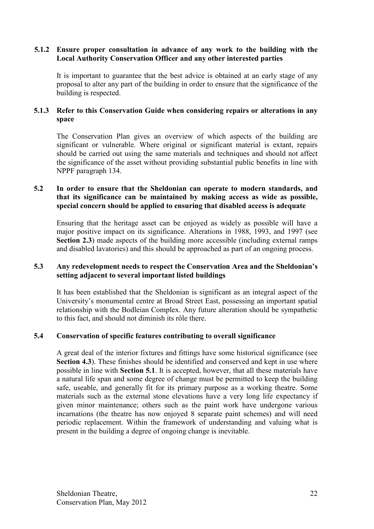#### **5.1.2 Ensure proper consultation in advance of any work to the building with the Local Authority Conservation Officer and any other interested parties**

It is important to guarantee that the best advice is obtained at an early stage of any proposal to alter any part of the building in order to ensure that the significance of the building is respected.

#### **5.1.3 Refer to this Conservation Guide when considering repairs or alterations in any space**

The Conservation Plan gives an overview of which aspects of the building are significant or vulnerable. Where original or significant material is extant, repairs should be carried out using the same materials and techniques and should not affect the significance of the asset without providing substantial public benefits in line with NPPF paragraph 134.

#### **5.2 In order to ensure that the Sheldonian can operate to modern standards, and that its significance can be maintained by making access as wide as possible, special concern should be applied to ensuring that disabled access is adequate**

Ensuring that the heritage asset can be enjoyed as widely as possible will have a major positive impact on its significance. Alterations in 1988, 1993, and 1997 (see **Section 2.3**) made aspects of the building more accessible (including external ramps and disabled lavatories) and this should be approached as part of an ongoing process.

#### **5.3 Any redevelopment needs to respect the Conservation Area and the Sheldonian's setting adjacent to several important listed buildings**

It has been established that the Sheldonian is significant as an integral aspect of the University's monumental centre at Broad Street East, possessing an important spatial relationship with the Bodleian Complex. Any future alteration should be sympathetic to this fact, and should not diminish its rôle there.

#### **5.4 Conservation of specific features contributing to overall significance**

A great deal of the interior fixtures and fittings have some historical significance (see **Section 4.3**). These finishes should be identified and conserved and kept in use where possible in line with **Section 5.1**. It is accepted, however, that all these materials have a natural life span and some degree of change must be permitted to keep the building safe, useable, and generally fit for its primary purpose as a working theatre. Some materials such as the external stone elevations have a very long life expectancy if given minor maintenance; others such as the paint work have undergone various incarnations (the theatre has now enjoyed 8 separate paint schemes) and will need periodic replacement. Within the framework of understanding and valuing what is present in the building a degree of ongoing change is inevitable.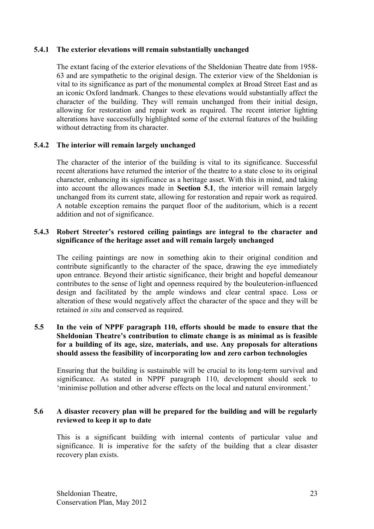#### **5.4.1 The exterior elevations will remain substantially unchanged**

The extant facing of the exterior elevations of the Sheldonian Theatre date from 1958- 63 and are sympathetic to the original design. The exterior view of the Sheldonian is vital to its significance as part of the monumental complex at Broad Street East and as an iconic Oxford landmark. Changes to these elevations would substantially affect the character of the building. They will remain unchanged from their initial design, allowing for restoration and repair work as required. The recent interior lighting alterations have successfully highlighted some of the external features of the building without detracting from its character.

#### **5.4.2 The interior will remain largely unchanged**

The character of the interior of the building is vital to its significance. Successful recent alterations have returned the interior of the theatre to a state close to its original character, enhancing its significance as a heritage asset. With this in mind, and taking into account the allowances made in **Section 5.1**, the interior will remain largely unchanged from its current state, allowing for restoration and repair work as required. A notable exception remains the parquet floor of the auditorium, which is a recent addition and not of significance.

#### **5.4.3 Robert Streeter's restored ceiling paintings are integral to the character and significance of the heritage asset and will remain largely unchanged**

The ceiling paintings are now in something akin to their original condition and contribute significantly to the character of the space, drawing the eye immediately upon entrance. Beyond their artistic significance, their bright and hopeful demeanour contributes to the sense of light and openness required by the bouleuterion-influenced design and facilitated by the ample windows and clear central space. Loss or alteration of these would negatively affect the character of the space and they will be retained *in situ* and conserved as required.

#### **5.5 In the vein of NPPF paragraph 110, efforts should be made to ensure that the Sheldonian Theatre's contribution to climate change is as minimal as is feasible for a building of its age, size, materials, and use. Any proposals for alterations should assess the feasibility of incorporating low and zero carbon technologies**

Ensuring that the building is sustainable will be crucial to its long-term survival and significance. As stated in NPPF paragraph 110, development should seek to 'minimise pollution and other adverse effects on the local and natural environment.'

#### **5.6 A disaster recovery plan will be prepared for the building and will be regularly reviewed to keep it up to date**

This is a significant building with internal contents of particular value and significance. It is imperative for the safety of the building that a clear disaster recovery plan exists.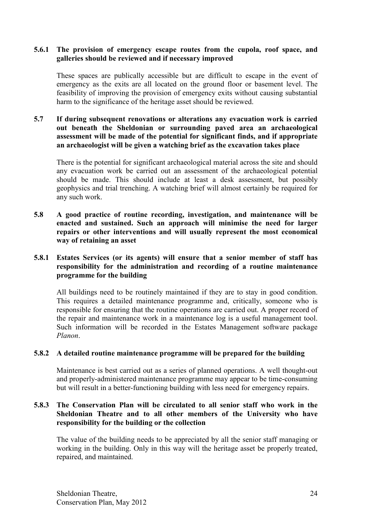#### **5.6.1 The provision of emergency escape routes from the cupola, roof space, and galleries should be reviewed and if necessary improved**

These spaces are publically accessible but are difficult to escape in the event of emergency as the exits are all located on the ground floor or basement level. The feasibility of improving the provision of emergency exits without causing substantial harm to the significance of the heritage asset should be reviewed.

#### **5.7 If during subsequent renovations or alterations any evacuation work is carried out beneath the Sheldonian or surrounding paved area an archaeological assessment will be made of the potential for significant finds, and if appropriate an archaeologist will be given a watching brief as the excavation takes place**

There is the potential for significant archaeological material across the site and should any evacuation work be carried out an assessment of the archaeological potential should be made. This should include at least a desk assessment, but possibly geophysics and trial trenching. A watching brief will almost certainly be required for any such work.

**5.8 A good practice of routine recording, investigation, and maintenance will be enacted and sustained. Such an approach will minimise the need for larger repairs or other interventions and will usually represent the most economical way of retaining an asset**

## **5.8.1 Estates Services (or its agents) will ensure that a senior member of staff has responsibility for the administration and recording of a routine maintenance programme for the building**

All buildings need to be routinely maintained if they are to stay in good condition. This requires a detailed maintenance programme and, critically, someone who is responsible for ensuring that the routine operations are carried out. A proper record of the repair and maintenance work in a maintenance log is a useful management tool. Such information will be recorded in the Estates Management software package *Planon*.

#### **5.8.2 A detailed routine maintenance programme will be prepared for the building**

Maintenance is best carried out as a series of planned operations. A well thought-out and properly-administered maintenance programme may appear to be time-consuming but will result in a better-functioning building with less need for emergency repairs.

#### **5.8.3 The Conservation Plan will be circulated to all senior staff who work in the Sheldonian Theatre and to all other members of the University who have responsibility for the building or the collection**

The value of the building needs to be appreciated by all the senior staff managing or working in the building. Only in this way will the heritage asset be properly treated, repaired, and maintained.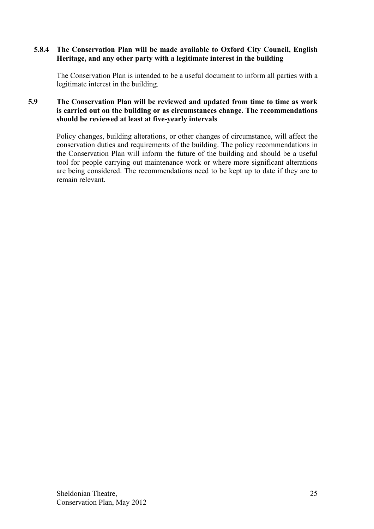### **5.8.4 The Conservation Plan will be made available to Oxford City Council, English Heritage, and any other party with a legitimate interest in the building**

The Conservation Plan is intended to be a useful document to inform all parties with a legitimate interest in the building.

## **5.9 The Conservation Plan will be reviewed and updated from time to time as work is carried out on the building or as circumstances change. The recommendations should be reviewed at least at five-yearly intervals**

Policy changes, building alterations, or other changes of circumstance, will affect the conservation duties and requirements of the building. The policy recommendations in the Conservation Plan will inform the future of the building and should be a useful tool for people carrying out maintenance work or where more significant alterations are being considered. The recommendations need to be kept up to date if they are to remain relevant.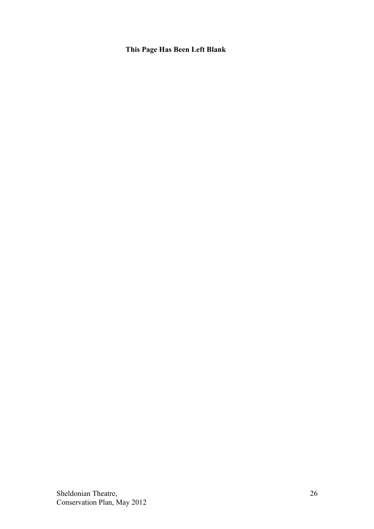# **This Page Has Been Left Blank**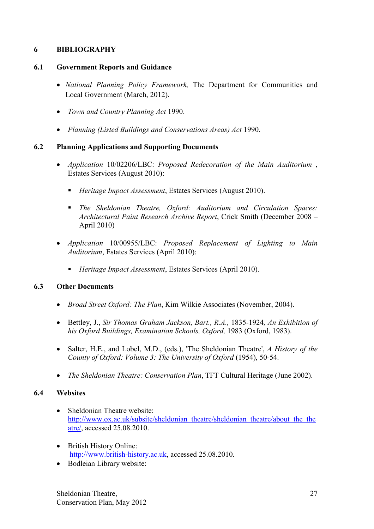## **6 BIBLIOGRAPHY**

#### **6.1 Government Reports and Guidance**

- *National Planning Policy Framework,* The Department for Communities and Local Government (March, 2012).
- *Town and Country Planning Act* 1990.
- *Planning (Listed Buildings and Conservations Areas) Act* 1990.

## **6.2 Planning Applications and Supporting Documents**

- *Application* 10/02206/LBC: *Proposed Redecoration of the Main Auditorium* , Estates Services (August 2010):
	- *Heritage Impact Assessment*, Estates Services (August 2010).
	- *The Sheldonian Theatre, Oxford: Auditorium and Circulation Spaces: Architectural Paint Research Archive Report*, Crick Smith (December 2008 – April 2010)
- *Application* 10/00955/LBC: *Proposed Replacement of Lighting to Main Auditorium*, Estates Services (April 2010):
	- *Heritage Impact Assessment*, Estates Services (April 2010).

## **6.3 Other Documents**

- *Broad Street Oxford: The Plan*, Kim Wilkie Associates (November, 2004).
- Bettley, J., *Sir Thomas Graham Jackson, Bart., R.A.,* 1835-1924*, An Exhibition of his Oxford Buildings, Examination Schools, Oxford,* 1983 (Oxford, 1983).
- Salter, H.E., and Lobel, M.D., (eds.), 'The Sheldonian Theatre', *A History of the County of Oxford: Volume 3: The University of Oxford* (1954), 50-54.
- *The Sheldonian Theatre: Conservation Plan*, TFT Cultural Heritage (June 2002).

## **6.4 Websites**

- Sheldonian Theatre website: http://www.ox.ac.uk/subsite/sheldonian\_theatre/sheldonian\_theatre/about\_the\_the atre/, accessed 25.08.2010.
- British History Online: http://www.british-history.ac.uk, accessed 25.08.2010.
- Bodleian Library website: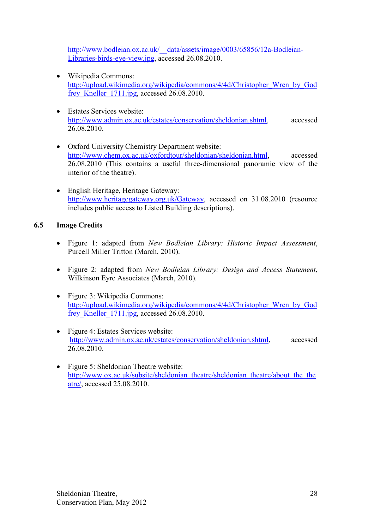http://www.bodleian.ox.ac.uk/\_\_data/assets/image/0003/65856/12a-Bodleian-Libraries-birds-eye-view.jpg, accessed 26.08.2010.

- Wikipedia Commons: http://upload.wikimedia.org/wikipedia/commons/4/4d/Christopher\_Wren\_by\_God frey\_Kneller\_1711.jpg, accessed 26.08.2010.
- Estates Services website: http://www.admin.ox.ac.uk/estates/conservation/sheldonian.shtml, accessed 26.08.2010.
- Oxford University Chemistry Department website: http://www.chem.ox.ac.uk/oxfordtour/sheldonian/sheldonian.html, accessed 26.08.2010 (This contains a useful three-dimensional panoramic view of the interior of the theatre).
- English Heritage, Heritage Gateway: http://www.heritagegateway.org.uk/Gateway, accessed on 31.08.2010 (resource includes public access to Listed Building descriptions).

## **6.5 Image Credits**

- Figure 1: adapted from *New Bodleian Library: Historic Impact Assessment*, Purcell Miller Tritton (March, 2010).
- Figure 2: adapted from *New Bodleian Library: Design and Access Statement*, Wilkinson Eyre Associates (March, 2010).
- Figure 3: Wikipedia Commons: http://upload.wikimedia.org/wikipedia/commons/4/4d/Christopher\_Wren\_by\_God frey\_Kneller\_1711.jpg, accessed 26.08.2010.
- Figure 4: Estates Services website: http://www.admin.ox.ac.uk/estates/conservation/sheldonian.shtml, accessed 26.08.2010.
- Figure 5: Sheldonian Theatre website: http://www.ox.ac.uk/subsite/sheldonian\_theatre/sheldonian\_theatre/about\_the\_the atre/, accessed 25.08.2010.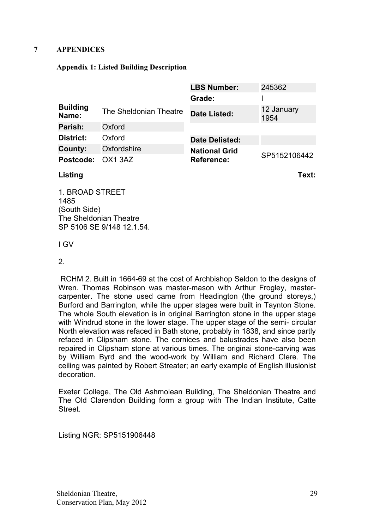## **7 APPENDICES**

#### **Appendix 1: Listed Building Description**

|                          |                        | <b>LBS Number:</b>   | 245362             |
|--------------------------|------------------------|----------------------|--------------------|
|                          |                        | Grade:               |                    |
| <b>Building</b><br>Name: | The Sheldonian Theatre | Date Listed:         | 12 January<br>1954 |
| Parish:                  | Oxford                 |                      |                    |
| <b>District:</b>         | Oxford                 | Date Delisted:       |                    |
| County:                  | Oxfordshire            | <b>National Grid</b> |                    |
| Postcode:                | OX <sub>1</sub> 3AZ    | <b>Reference:</b>    | SP5152106442       |
| Listing                  |                        |                      | Text:              |

1. BROAD STREET 1485 (South Side) The Sheldonian Theatre SP 5106 SE 9/148 12.1.54.

I GV

2.

RCHM 2. Built in 1664-69 at the cost of Archbishop Seldon to the designs of Wren. Thomas Robinson was master-mason with Arthur Frogley, mastercarpenter. The stone used came from Headington (the ground storeys,) Burford and Barrington, while the upper stages were built in Taynton Stone. The whole South elevation is in original Barrington stone in the upper stage with Windrud stone in the lower stage. The upper stage of the semi- circular North elevation was refaced in Bath stone, probably in 1838, and since partly refaced in Clipsham stone. The cornices and balustrades have also been repaired in Clipsham stone at various times. The originai stone-carving was by William Byrd and the wood-work by William and Richard Clere. The ceiling was painted by Robert Streater; an early example of English illusionist decoration.

Exeter College, The Old Ashmolean Building, The Sheldonian Theatre and The Old Clarendon Building form a group with The Indian Institute, Catte Street.

Listing NGR: SP5151906448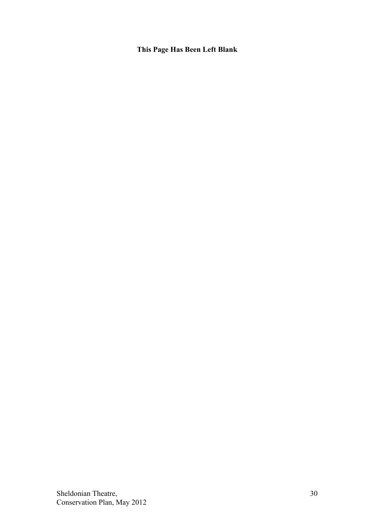# **This Page Has Been Left Blank**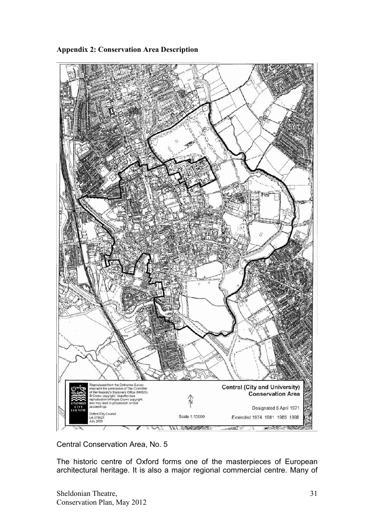## **Appendix 2: Conservation Area Description**



Central Conservation Area, No. 5

The historic centre of Oxford forms one of the masterpieces of European architectural heritage. It is also a major regional commercial centre. Many of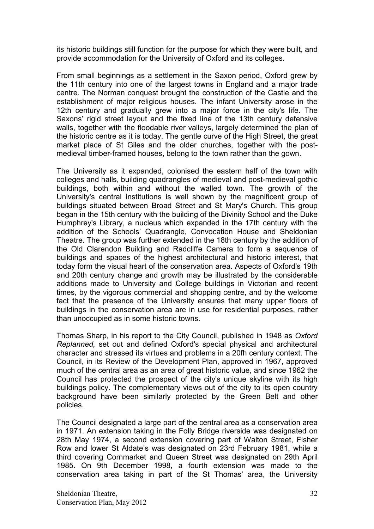its historic buildings still function for the purpose for which they were built, and provide accommodation for the University of Oxford and its colleges.

From small beginnings as a settlement in the Saxon period, Oxford grew by the 11th century into one of the largest towns in England and a major trade centre. The Norman conquest brought the construction of the Castle and the establishment of major religious houses. The infant University arose in the 12th century and gradually grew into a major force in the city's life. The Saxons' rigid street layout and the fixed line of the 13th century defensive walls, together with the floodable river valleys, largely determined the plan of the historic centre as it is today. The gentle curve of the High Street, the great market place of St Giles and the older churches, together with the postmedieval timber-framed houses, belong to the town rather than the gown.

The University as it expanded, colonised the eastern half of the town with colleges and halls, building quadrangles of medieval and post-medieval gothic buildings, both within and without the walled town. The growth of the University's central institutions is well shown by the magnificent group of buildings situated between Broad Street and St Mary's Church. This group began in the 15th century with the building of the Divinity School and the Duke Humphrey's Library, a nucleus which expanded in the 17th century with the addition of the Schools' Quadrangle, Convocation House and Sheldonian Theatre. The group was further extended in the 18th century by the addition of the Old Clarendon Building and Radcliffe Camera to form a sequence of buildings and spaces of the highest architectural and historic interest, that today form the visual heart of the conservation area. Aspects of Oxford's 19th and 20th century change and growth may be illustrated by the considerable additions made to University and College buildings in Victorian and recent times, by the vigorous commercial and shopping centre, and by the welcome fact that the presence of the University ensures that many upper floors of buildings in the conservation area are in use for residential purposes, rather than unoccupied as in some historic towns.

Thomas Sharp, in his report to the City Council, published in 1948 as *Oxford Replanned,* set out and defined Oxford's special physical and architectural character and stressed its virtues and problems in a 20fh century context. The Council, in its Review of the Development Plan, approved in 1967, approved much of the central area as an area of great historic value, and since 1962 the Council has protected the prospect of the city's unique skyline with its high buildings policy. The complementary views out of the city to its open country background have been similarly protected by the Green Belt and other policies.

The Council designated a large part of the central area as a conservation area in 1971. An extension taking in the Folly Bridge riverside was designated on 28th May 1974, a second extension covering part of Walton Street, Fisher Row and lower St Aldate's was designated on 23rd February 1981, while a third covering Cornmarket and Queen Street was designated on 29th April 1985. On 9th December 1998, a fourth extension was made to the conservation area taking in part of the St Thomas' area, the University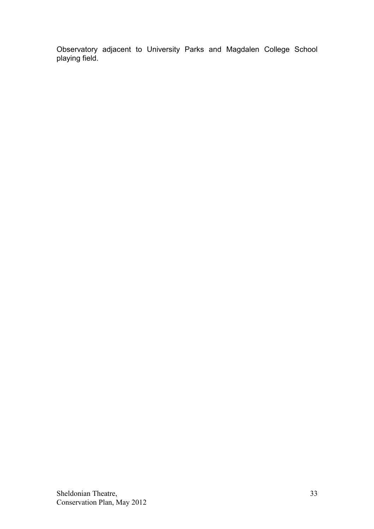Observatory adjacent to University Parks and Magdalen College School playing field.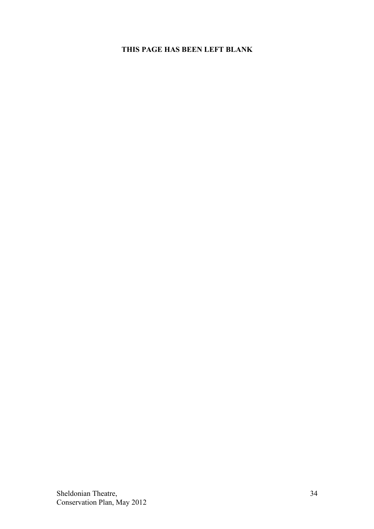## **THIS PAGE HAS BEEN LEFT BLANK**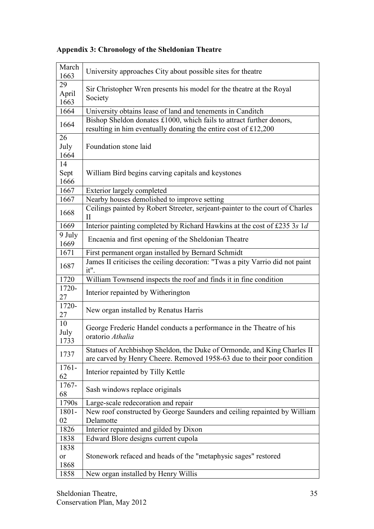| March    | University approaches City about possible sites for theatre                                                                             |
|----------|-----------------------------------------------------------------------------------------------------------------------------------------|
| 1663     |                                                                                                                                         |
| 29       | Sir Christopher Wren presents his model for the theatre at the Royal                                                                    |
| April    | Society                                                                                                                                 |
| 1663     |                                                                                                                                         |
| 1664     | University obtains lease of land and tenements in Canditch                                                                              |
| 1664     | Bishop Sheldon donates £1000, which fails to attract further donors,<br>resulting in him eventually donating the entire cost of £12,200 |
| 26       |                                                                                                                                         |
| July     | Foundation stone laid                                                                                                                   |
| 1664     |                                                                                                                                         |
| 14       |                                                                                                                                         |
| Sept     | William Bird begins carving capitals and keystones                                                                                      |
| 1666     |                                                                                                                                         |
| 1667     | <b>Exterior largely completed</b>                                                                                                       |
| 1667     | Nearby houses demolished to improve setting                                                                                             |
| 1668     | Ceilings painted by Robert Streeter, serjeant-painter to the court of Charles<br>$\mathbf{I}$                                           |
| 1669     | Interior painting completed by Richard Hawkins at the cost of £235 3s 1d                                                                |
| 9 July   |                                                                                                                                         |
| 1669     | Encaenia and first opening of the Sheldonian Theatre                                                                                    |
| 1671     | First permanent organ installed by Bernard Schmidt                                                                                      |
| 1687     | James II criticises the ceiling decoration: "Twas a pity Varrio did not paint<br>it".                                                   |
| 1720     | William Townsend inspects the roof and finds it in fine condition                                                                       |
| 1720-    |                                                                                                                                         |
| 27       | Interior repainted by Witherington                                                                                                      |
| 1720-    | New organ installed by Renatus Harris                                                                                                   |
| 27       |                                                                                                                                         |
| 10       |                                                                                                                                         |
| July     | George Frederic Handel conducts a performance in the Theatre of his                                                                     |
| 1733     | oratorio Athalia                                                                                                                        |
|          | Statues of Archbishop Sheldon, the Duke of Ormonde, and King Charles II                                                                 |
| 1737     | are carved by Henry Cheere. Removed 1958-63 due to their poor condition                                                                 |
| $1761 -$ |                                                                                                                                         |
| 62       | Interior repainted by Tilly Kettle                                                                                                      |
| 1767-    |                                                                                                                                         |
| 68       | Sash windows replace originals                                                                                                          |
| 1790s    | Large-scale redecoration and repair                                                                                                     |
| 1801-    | New roof constructed by George Saunders and ceiling repainted by William                                                                |
| 02       | Delamotte                                                                                                                               |
| 1826     | Interior repainted and gilded by Dixon                                                                                                  |
| 1838     | Edward Blore designs current cupola                                                                                                     |
| 1838     |                                                                                                                                         |
| or       | Stonework refaced and heads of the "metaphysic sages" restored                                                                          |
| 1868     |                                                                                                                                         |
| 1858     | New organ installed by Henry Willis                                                                                                     |
|          |                                                                                                                                         |

# **Appendix 3: Chronology of the Sheldonian Theatre**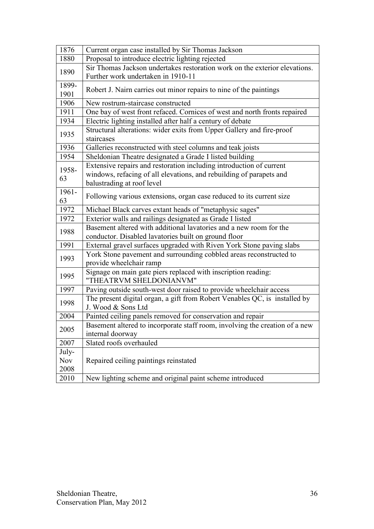| 1876          | Current organ case installed by Sir Thomas Jackson                                                                                                                       |
|---------------|--------------------------------------------------------------------------------------------------------------------------------------------------------------------------|
| 1880          | Proposal to introduce electric lighting rejected                                                                                                                         |
| 1890          | Sir Thomas Jackson undertakes restoration work on the exterior elevations.<br>Further work undertaken in 1910-11                                                         |
| 1899-<br>1901 | Robert J. Nairn carries out minor repairs to nine of the paintings                                                                                                       |
| 1906          | New rostrum-staircase constructed                                                                                                                                        |
| 1911          | One bay of west front refaced. Cornices of west and north fronts repaired                                                                                                |
| 1934          | Electric lighting installed after half a century of debate                                                                                                               |
| 1935          | Structural alterations: wider exits from Upper Gallery and fire-proof<br>staircases                                                                                      |
| 1936          | Galleries reconstructed with steel columns and teak joists                                                                                                               |
| 1954          | Sheldonian Theatre designated a Grade I listed building                                                                                                                  |
| 1958-<br>63   | Extensive repairs and restoration including introduction of current<br>windows, refacing of all elevations, and rebuilding of parapets and<br>balustrading at roof level |
| 1961-<br>63   | Following various extensions, organ case reduced to its current size                                                                                                     |
| 1972          | Michael Black carves extant heads of "metaphysic sages"                                                                                                                  |
| 1972          | Exterior walls and railings designated as Grade I listed                                                                                                                 |
| 1988          | Basement altered with additional lavatories and a new room for the<br>conductor. Disabled lavatories built on ground floor                                               |
| 1991          | External gravel surfaces upgraded with Riven York Stone paving slabs                                                                                                     |
| 1993          | York Stone pavement and surrounding cobbled areas reconstructed to<br>provide wheelchair ramp                                                                            |
| 1995          | Signage on main gate piers replaced with inscription reading:<br>"THEATRVM SHELDONIANVM"                                                                                 |
| 1997          | Paving outside south-west door raised to provide wheelchair access                                                                                                       |
| 1998          | The present digital organ, a gift from Robert Venables QC, is installed by<br>J. Wood & Sons Ltd                                                                         |
| 2004          | Painted ceiling panels removed for conservation and repair                                                                                                               |
| 2005          | Basement altered to incorporate staff room, involving the creation of a new<br>internal doorway                                                                          |
| 2007          | Slated roofs overhauled                                                                                                                                                  |
| July-         |                                                                                                                                                                          |
| <b>Nov</b>    | Repaired ceiling paintings reinstated                                                                                                                                    |
| 2008          |                                                                                                                                                                          |
| 2010          | New lighting scheme and original paint scheme introduced                                                                                                                 |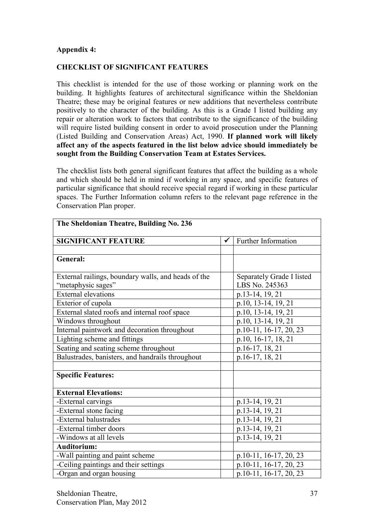## **Appendix 4:**

#### **CHECKLIST OF SIGNIFICANT FEATURES**

This checklist is intended for the use of those working or planning work on the building. It highlights features of architectural significance within the Sheldonian Theatre; these may be original features or new additions that nevertheless contribute positively to the character of the building. As this is a Grade I listed building any repair or alteration work to factors that contribute to the significance of the building will require listed building consent in order to avoid prosecution under the Planning (Listed Building and Conservation Areas) Act, 1990. **If planned work will likely affect any of the aspects featured in the list below advice should immediately be sought from the Building Conservation Team at Estates Services.**

The checklist lists both general significant features that affect the building as a whole and which should be held in mind if working in any space, and specific features of particular significance that should receive special regard if working in these particular spaces. The Further Information column refers to the relevant page reference in the Conservation Plan proper.

| The Sheldonian Theatre, Building No. 236            |   |                           |  |
|-----------------------------------------------------|---|---------------------------|--|
| <b>SIGNIFICANT FEATURE</b>                          | ✓ | Further Information       |  |
|                                                     |   |                           |  |
| General:                                            |   |                           |  |
|                                                     |   |                           |  |
| External railings, boundary walls, and heads of the |   | Separately Grade I listed |  |
| "metaphysic sages"                                  |   | LBS No. 245363            |  |
| <b>External elevations</b>                          |   | p.13-14, 19, 21           |  |
| Exterior of cupola                                  |   | p.10, 13-14, 19, 21       |  |
| External slated roofs and internal roof space       |   | p.10, 13-14, 19, 21       |  |
| Windows throughout                                  |   | p.10, 13-14, 19, 21       |  |
| Internal paintwork and decoration throughout        |   | p.10-11, 16-17, 20, 23    |  |
| Lighting scheme and fittings                        |   | p.10, 16-17, 18, 21       |  |
| Seating and seating scheme throughout               |   | p.16-17, 18, 21           |  |
| Balustrades, banisters, and handrails throughout    |   | p.16-17, 18, 21           |  |
|                                                     |   |                           |  |
| <b>Specific Features:</b>                           |   |                           |  |
| <b>External Elevations:</b>                         |   |                           |  |
| -External carvings                                  |   | p.13-14, 19, 21           |  |
| -External stone facing                              |   | p.13-14, 19, 21           |  |
| -External balustrades                               |   | p.13-14, 19, 21           |  |
| -External timber doors                              |   | p.13-14, 19, 21           |  |
| -Windows at all levels                              |   | p.13-14, 19, 21           |  |
| <b>Auditorium:</b>                                  |   |                           |  |
| -Wall painting and paint scheme                     |   | p.10-11, 16-17, 20, 23    |  |
| -Ceiling paintings and their settings               |   | p.10-11, 16-17, 20, 23    |  |
| -Organ and organ housing                            |   | p.10-11, 16-17, 20, 23    |  |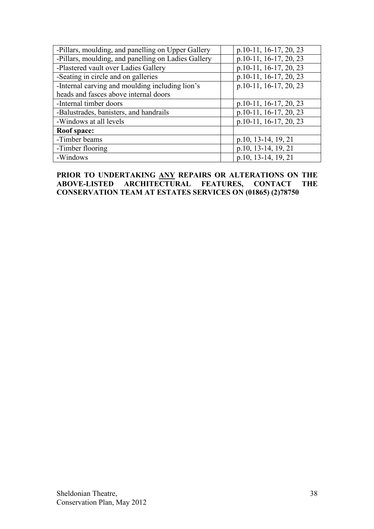| -Pillars, moulding, and panelling on Upper Gallery  | p.10-11, 16-17, 20, 23 |
|-----------------------------------------------------|------------------------|
| -Pillars, moulding, and panelling on Ladies Gallery | p.10-11, 16-17, 20, 23 |
| -Plastered vault over Ladies Gallery                | p.10-11, 16-17, 20, 23 |
| -Seating in circle and on galleries                 | p.10-11, 16-17, 20, 23 |
| -Internal carving and moulding including lion's     | p.10-11, 16-17, 20, 23 |
| heads and fasces above internal doors               |                        |
| -Internal timber doors                              | p.10-11, 16-17, 20, 23 |
| -Balustrades, banisters, and handrails              | p.10-11, 16-17, 20, 23 |
| -Windows at all levels                              | p.10-11, 16-17, 20, 23 |
| Roof space:                                         |                        |
| -Timber beams                                       | p.10, 13-14, 19, 21    |
| -Timber flooring                                    | p.10, 13-14, 19, 21    |
| -Windows                                            | p.10, 13-14, 19, 21    |

## **PRIOR TO UNDERTAKING ANY REPAIRS OR ALTERATIONS ON THE ABOVE-LISTED ARCHITECTURAL FEATURES, CONTACT THE CONSERVATION TEAM AT ESTATES SERVICES ON (01865) (2)78750**